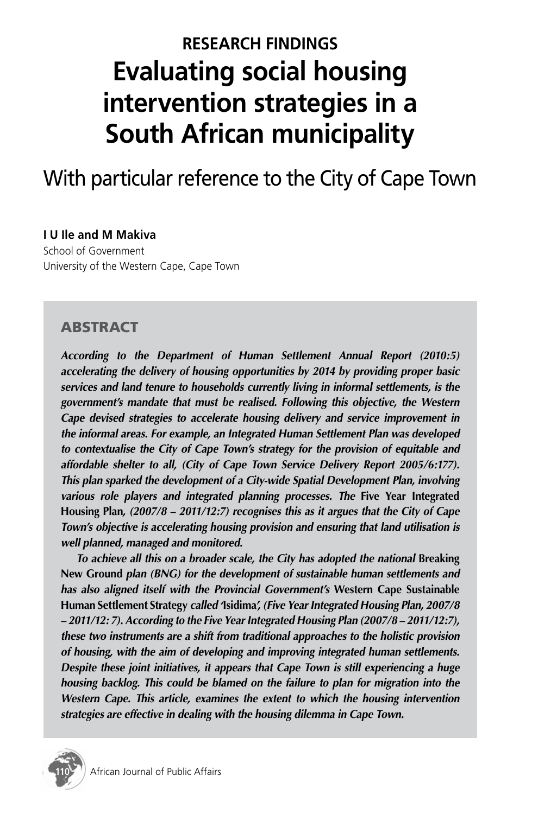# **RESEARCH FINDINGS Evaluating social housing intervention strategies in a South African municipality**

# With particular reference to the City of Cape Town

#### **I U Ile and M Makiva**

School of Government University of the Western Cape, Cape Town

#### **ABSTRACT**

*According to the Department of Human Settlement Annual Report (2010:5) accelerating the delivery of housing opportunities by 2014 by providing proper basic services and land tenure to households currently living in informal settlements, is the government's mandate that must be realised. Following this objective, the Western Cape devised strategies to accelerate housing delivery and service improvement in the informal areas. For example, an Integrated Human Settlement Plan was developed to contextualise the City of Cape Town's strategy for the provision of equitable and affordable shelter to all, (City of Cape Town Service Delivery Report 2005/6:177). This plan sparked the development of a City-wide Spatial Development Plan, involving various role players and integrated planning processes. The Five Year Integrated* **Housing Plan***, (2007/8 – 2011/12:7) recognises this as it argues that the City of Cape Town's objective is accelerating housing provision and ensuring that land utilisation is well planned, managed and monitored.*

*To achieve all this on a broader scale, the City has adopted the national Breaking* **New Ground** *plan (BNG) for the development of sustainable human settlements and has also aligned itself with the Provincial Government's* **Western Cape Sustainable Human Settlement Strategy** *called '***Isidima***', (Five Year Integrated Housing Plan, 2007/8 – 2011/12: 7). According to the Five Year Integrated Housing Plan (2007/8 – 2011/12:7), these two instruments are a shift from traditional approaches to the holistic provision of housing, with the aim of developing and improving integrated human settlements. Despite these joint initiatives, it appears that Cape Town is still experiencing a huge housing backlog. This could be blamed on the failure to plan for migration into the Western Cape. This article, examines the extent to which the housing intervention strategies are effective in dealing with the housing dilemma in Cape Town.*

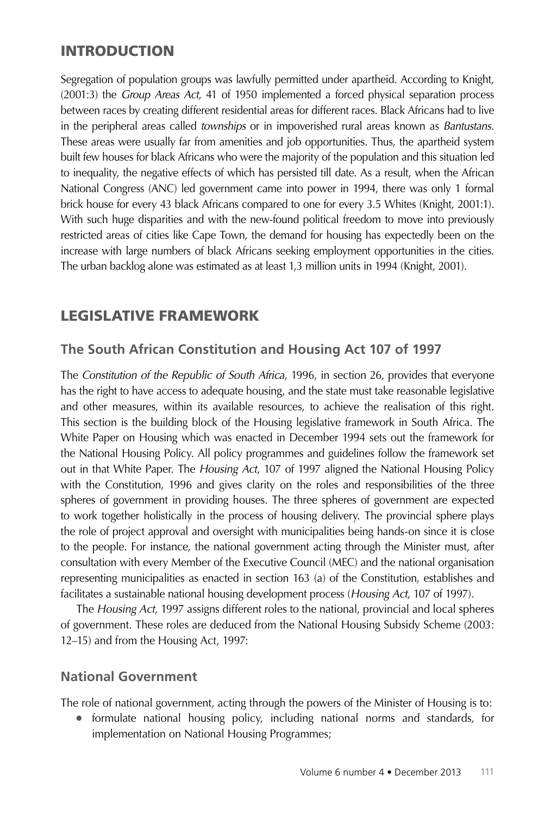## **INTRODUCTION**

Segregation of population groups was lawfully permitted under apartheid. According to Knight, (2001:3) the *Group Areas Act*, 41 of 1950 implemented a forced physical separation process between races by creating different residential areas for different races. Black Africans had to live in the peripheral areas called *townships* or in impoverished rural areas known as *Bantustans*. These areas were usually far from amenities and job opportunities. Thus, the apartheid system built few houses for black Africans who were the majority of the population and this situation led to inequality, the negative effects of which has persisted till date. As a result, when the African National Congress (ANC) led government came into power in 1994, there was only 1 formal brick house for every 43 black Africans compared to one for every 3.5 Whites (Knight, 2001:1). With such huge disparities and with the new-found political freedom to move into previously restricted areas of cities like Cape Town, the demand for housing has expectedly been on the increase with large numbers of black Africans seeking employment opportunities in the cities. The urban backlog alone was estimated as at least 1,3 million units in 1994 (Knight, 2001).

# Legislative Framework

## **The South African Constitution and Housing Act 107 of 1997**

The *Constitution of the Republic of South Africa*, 1996, in section 26, provides that everyone has the right to have access to adequate housing, and the state must take reasonable legislative and other measures, within its available resources, to achieve the realisation of this right. This section is the building block of the Housing legislative framework in South Africa. The White Paper on Housing which was enacted in December 1994 sets out the framework for the National Housing Policy. All policy programmes and guidelines follow the framework set out in that White Paper. The *Housing Act*, 107 of 1997 aligned the National Housing Policy with the Constitution, 1996 and gives clarity on the roles and responsibilities of the three spheres of government in providing houses. The three spheres of government are expected to work together holistically in the process of housing delivery. The provincial sphere plays the role of project approval and oversight with municipalities being hands-on since it is close to the people. For instance, the national government acting through the Minister must, after consultation with every Member of the Executive Council (MEC) and the national organisation representing municipalities as enacted in section 163 (a) of the Constitution, establishes and facilitates a sustainable national housing development process (*Housing Act*, 107 of 1997).

The *Housing Act*, 1997 assigns different roles to the national, provincial and local spheres of government. These roles are deduced from the National Housing Subsidy Scheme (2003: 12–15) and from the Housing Act, 1997:

#### **National Government**

The role of national government, acting through the powers of the Minister of Housing is to:

formulate national housing policy, including national norms and standards, for implementation on National Housing Programmes;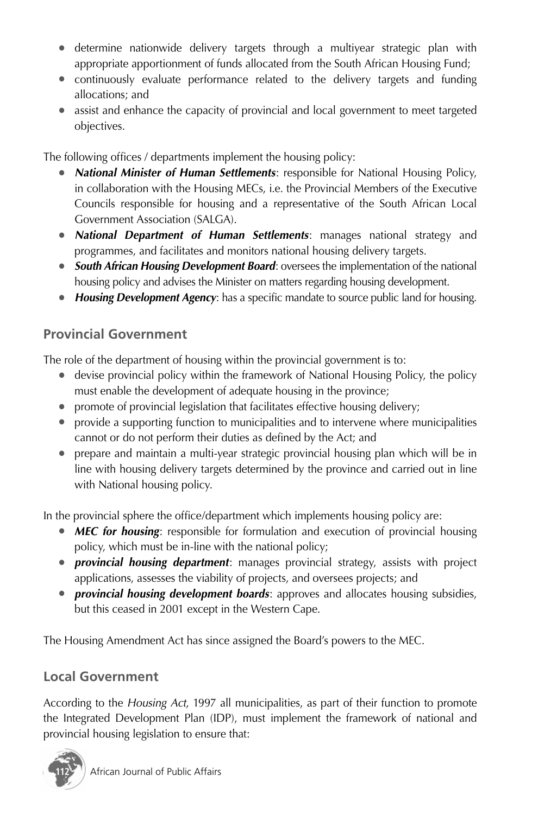- determine nationwide delivery targets through a multiyear strategic plan with appropriate apportionment of funds allocated from the South African Housing Fund;
- continuously evaluate performance related to the delivery targets and funding allocations; and
- assist and enhance the capacity of provincial and local government to meet targeted objectives.

The following offices / departments implement the housing policy:

- **National Minister of Human Settlements:** responsible for National Housing Policy, in collaboration with the Housing MECs, i.e. the Provincial Members of the Executive Councils responsible for housing and a representative of the South African Local Government Association (SALGA).
- *National Department of Human Settlements*: manages national strategy and programmes, and facilitates and monitors national housing delivery targets.
- **South African Housing Development Board:** oversees the implementation of the national housing policy and advises the Minister on matters regarding housing development.
- *Housing Development Agency*: has a specific mandate to source public land for housing.

# **Provincial Government**

The role of the department of housing within the provincial government is to:

- devise provincial policy within the framework of National Housing Policy, the policy must enable the development of adequate housing in the province;
- promote of provincial legislation that facilitates effective housing delivery;
- provide a supporting function to municipalities and to intervene where municipalities cannot or do not perform their duties as defined by the Act; and
- prepare and maintain a multi-year strategic provincial housing plan which will be in line with housing delivery targets determined by the province and carried out in line with National housing policy.

In the provincial sphere the office/department which implements housing policy are:

- *MEC for housing*: responsible for formulation and execution of provincial housing policy, which must be in-line with the national policy;
- *provincial housing department*: manages provincial strategy, assists with project applications, assesses the viability of projects, and oversees projects; and
- *provincial housing development boards*: approves and allocates housing subsidies, but this ceased in 2001 except in the Western Cape.

The Housing Amendment Act has since assigned the Board's powers to the MEC.

## **Local Government**

According to the *Housing Act*, 1997 all municipalities, as part of their function to promote the Integrated Development Plan (IDP), must implement the framework of national and provincial housing legislation to ensure that:

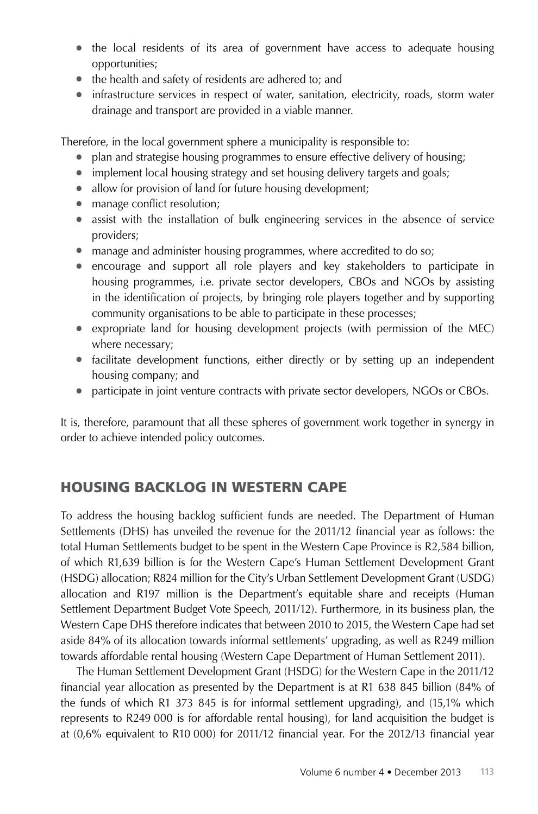- the local residents of its area of government have access to adequate housing opportunities;
- the health and safety of residents are adhered to; and
- infrastructure services in respect of water, sanitation, electricity, roads, storm water drainage and transport are provided in a viable manner.

Therefore, in the local government sphere a municipality is responsible to:

- plan and strategise housing programmes to ensure effective delivery of housing;
- implement local housing strategy and set housing delivery targets and goals;
- allow for provision of land for future housing development;
- manage conflict resolution;
- assist with the installation of bulk engineering services in the absence of service providers;
- manage and administer housing programmes, where accredited to do so;
- encourage and support all role players and key stakeholders to participate in housing programmes, i.e. private sector developers, CBOs and NGOs by assisting in the identification of projects, by bringing role players together and by supporting community organisations to be able to participate in these processes;
- expropriate land for housing development projects (with permission of the MEC) where necessary;
- facilitate development functions, either directly or by setting up an independent housing company; and
- participate in joint venture contracts with private sector developers, NGOs or CBOs.

It is, therefore, paramount that all these spheres of government work together in synergy in order to achieve intended policy outcomes.

## Housing Backlog in Western Cape

To address the housing backlog sufficient funds are needed. The Department of Human Settlements (DHS) has unveiled the revenue for the 2011/12 financial year as follows: the total Human Settlements budget to be spent in the Western Cape Province is R2,584 billion, of which R1,639 billion is for the Western Cape's Human Settlement Development Grant (HSDG) allocation; R824 million for the City's Urban Settlement Development Grant (USDG) allocation and R197 million is the Department's equitable share and receipts (Human Settlement Department Budget Vote Speech, 2011/12). Furthermore, in its business plan, the Western Cape DHS therefore indicates that between 2010 to 2015, the Western Cape had set aside 84% of its allocation towards informal settlements' upgrading, as well as R249 million towards affordable rental housing (Western Cape Department of Human Settlement 2011).

The Human Settlement Development Grant (HSDG) for the Western Cape in the 2011/12 financial year allocation as presented by the Department is at R1 638 845 billion (84% of the funds of which R1 373 845 is for informal settlement upgrading), and (15,1% which represents to R249 000 is for affordable rental housing), for land acquisition the budget is at (0,6% equivalent to R10 000) for 2011/12 financial year. For the 2012/13 financial year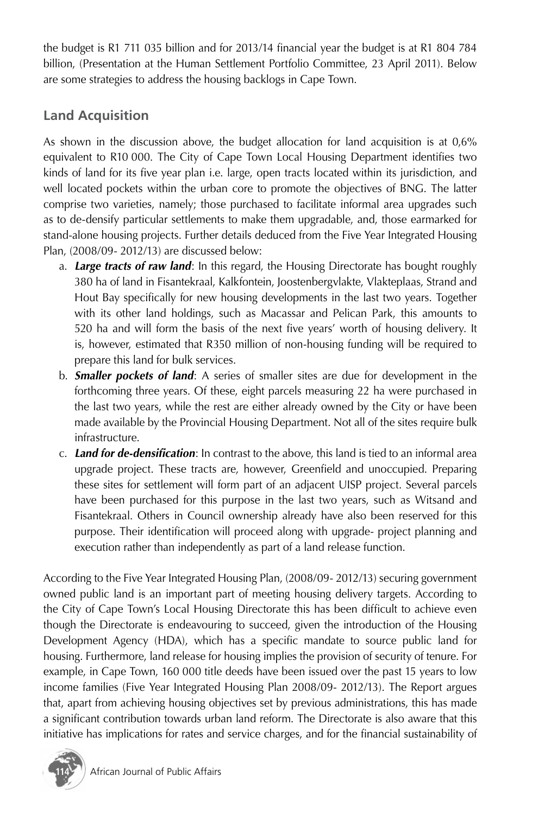the budget is R1 711 035 billion and for 2013/14 financial year the budget is at R1 804 784 billion, (Presentation at the Human Settlement Portfolio Committee, 23 April 2011). Below are some strategies to address the housing backlogs in Cape Town.

# **Land Acquisition**

As shown in the discussion above, the budget allocation for land acquisition is at 0,6% equivalent to R10 000. The City of Cape Town Local Housing Department identifies two kinds of land for its five year plan i.e. large, open tracts located within its jurisdiction, and well located pockets within the urban core to promote the objectives of BNG. The latter comprise two varieties, namely; those purchased to facilitate informal area upgrades such as to de-densify particular settlements to make them upgradable, and, those earmarked for stand-alone housing projects. Further details deduced from the Five Year Integrated Housing Plan, (2008/09- 2012/13) are discussed below:

- a. *Large tracts of raw land*: In this regard, the Housing Directorate has bought roughly 380 ha of land in Fisantekraal, Kalkfontein, Joostenbergvlakte, Vlakteplaas, Strand and Hout Bay specifically for new housing developments in the last two years. Together with its other land holdings, such as Macassar and Pelican Park, this amounts to 520 ha and will form the basis of the next five years' worth of housing delivery. It is, however, estimated that R350 million of non-housing funding will be required to prepare this land for bulk services.
- b. *Smaller pockets of land*: A series of smaller sites are due for development in the forthcoming three years. Of these, eight parcels measuring 22 ha were purchased in the last two years, while the rest are either already owned by the City or have been made available by the Provincial Housing Department. Not all of the sites require bulk infrastructure.
- c. *Land for de-densification*: In contrast to the above, this land is tied to an informal area upgrade project. These tracts are, however, Greenfield and unoccupied. Preparing these sites for settlement will form part of an adjacent UISP project. Several parcels have been purchased for this purpose in the last two years, such as Witsand and Fisantekraal. Others in Council ownership already have also been reserved for this purpose. Their identification will proceed along with upgrade- project planning and execution rather than independently as part of a land release function.

According to the Five Year Integrated Housing Plan, (2008/09- 2012/13) securing government owned public land is an important part of meeting housing delivery targets. According to the City of Cape Town's Local Housing Directorate this has been difficult to achieve even though the Directorate is endeavouring to succeed, given the introduction of the Housing Development Agency (HDA), which has a specific mandate to source public land for housing. Furthermore, land release for housing implies the provision of security of tenure. For example, in Cape Town, 160 000 title deeds have been issued over the past 15 years to low income families (Five Year Integrated Housing Plan 2008/09- 2012/13). The Report argues that, apart from achieving housing objectives set by previous administrations, this has made a significant contribution towards urban land reform. The Directorate is also aware that this initiative has implications for rates and service charges, and for the financial sustainability of

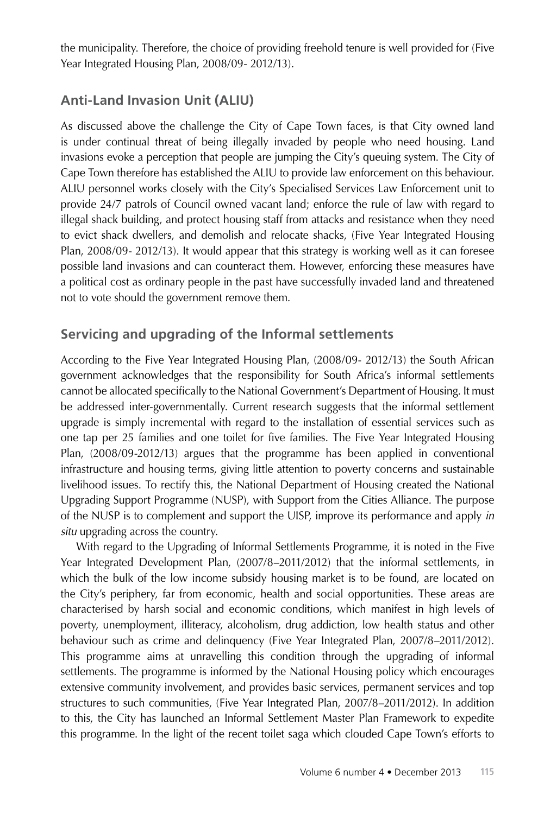the municipality. Therefore, the choice of providing freehold tenure is well provided for (Five Year Integrated Housing Plan, 2008/09- 2012/13).

#### **Anti-Land Invasion Unit (ALIU)**

As discussed above the challenge the City of Cape Town faces, is that City owned land is under continual threat of being illegally invaded by people who need housing. Land invasions evoke a perception that people are jumping the City's queuing system. The City of Cape Town therefore has established the ALIU to provide law enforcement on this behaviour. ALIU personnel works closely with the City's Specialised Services Law Enforcement unit to provide 24/7 patrols of Council owned vacant land; enforce the rule of law with regard to illegal shack building, and protect housing staff from attacks and resistance when they need to evict shack dwellers, and demolish and relocate shacks, (Five Year Integrated Housing Plan, 2008/09- 2012/13). It would appear that this strategy is working well as it can foresee possible land invasions and can counteract them. However, enforcing these measures have a political cost as ordinary people in the past have successfully invaded land and threatened not to vote should the government remove them.

#### **Servicing and upgrading of the Informal settlements**

According to the Five Year Integrated Housing Plan, (2008/09- 2012/13) the South African government acknowledges that the responsibility for South Africa's informal settlements cannot be allocated specifically to the National Government's Department of Housing. It must be addressed inter-governmentally. Current research suggests that the informal settlement upgrade is simply incremental with regard to the installation of essential services such as one tap per 25 families and one toilet for five families. The Five Year Integrated Housing Plan, (2008/09-2012/13) argues that the programme has been applied in conventional infrastructure and housing terms, giving little attention to poverty concerns and sustainable livelihood issues. To rectify this, the National Department of Housing created the National Upgrading Support Programme (NUSP), with Support from the Cities Alliance. The purpose of the NUSP is to complement and support the UISP, improve its performance and apply *in situ* upgrading across the country.

With regard to the Upgrading of Informal Settlements Programme, it is noted in the Five Year Integrated Development Plan, (2007/8–2011/2012) that the informal settlements, in which the bulk of the low income subsidy housing market is to be found, are located on the City's periphery, far from economic, health and social opportunities. These areas are characterised by harsh social and economic conditions, which manifest in high levels of poverty, unemployment, illiteracy, alcoholism, drug addiction, low health status and other behaviour such as crime and delinquency (Five Year Integrated Plan, 2007/8–2011/2012). This programme aims at unravelling this condition through the upgrading of informal settlements. The programme is informed by the National Housing policy which encourages extensive community involvement, and provides basic services, permanent services and top structures to such communities, (Five Year Integrated Plan, 2007/8–2011/2012). In addition to this, the City has launched an Informal Settlement Master Plan Framework to expedite this programme. In the light of the recent toilet saga which clouded Cape Town's efforts to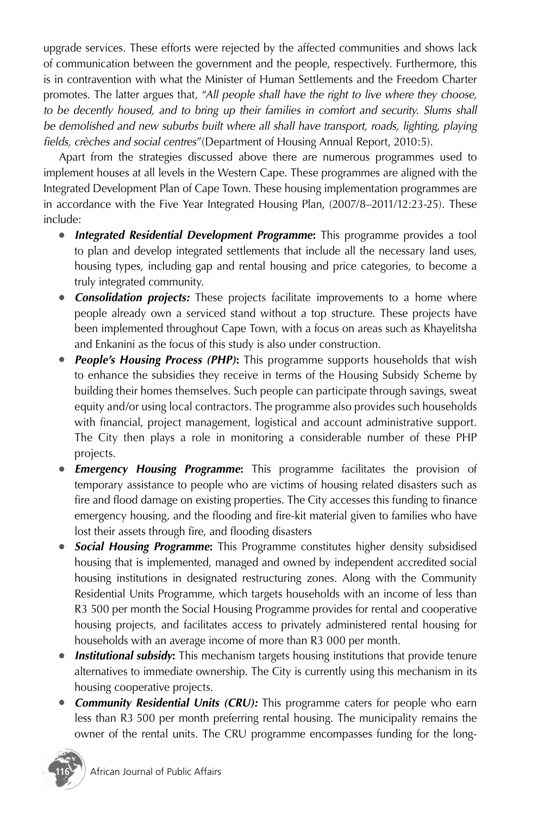upgrade services. These efforts were rejected by the affected communities and shows lack of communication between the government and the people, respectively. Furthermore, this is in contravention with what the Minister of Human Settlements and the Freedom Charter promotes. The latter argues that, "*All people shall have the right to live where they choose,*  to be decently housed, and to bring up their families in comfort and security. Slums shall be demolished and new suburbs built where all shall have transport, roads, lighting, playing *fields, crèches and social centres*"(Department of Housing Annual Report, 2010:5).

Apart from the strategies discussed above there are numerous programmes used to implement houses at all levels in the Western Cape. These programmes are aligned with the Integrated Development Plan of Cape Town. These housing implementation programmes are in accordance with the Five Year Integrated Housing Plan, (2007/8–2011/12:23-25). These include:

- *Integrated Residential Development Programme***:** This programme provides a tool to plan and develop integrated settlements that include all the necessary land uses, housing types, including gap and rental housing and price categories, to become a truly integrated community.
- **Consolidation projects:** These projects facilitate improvements to a home where people already own a serviced stand without a top structure. These projects have been implemented throughout Cape Town, with a focus on areas such as Khayelitsha and Enkanini as the focus of this study is also under construction.
- *People's Housing Process (PHP)***:** This programme supports households that wish to enhance the subsidies they receive in terms of the Housing Subsidy Scheme by building their homes themselves. Such people can participate through savings, sweat equity and/or using local contractors. The programme also provides such households with financial, project management, logistical and account administrative support. The City then plays a role in monitoring a considerable number of these PHP projects.
- *Emergency Housing Programme***:** This programme facilitates the provision of temporary assistance to people who are victims of housing related disasters such as fire and flood damage on existing properties. The City accesses this funding to finance emergency housing, and the flooding and fire-kit material given to families who have lost their assets through fire, and flooding disasters
- *Social Housing Programme***:** This Programme constitutes higher density subsidised housing that is implemented, managed and owned by independent accredited social housing institutions in designated restructuring zones. Along with the Community Residential Units Programme, which targets households with an income of less than R3 500 per month the Social Housing Programme provides for rental and cooperative housing projects, and facilitates access to privately administered rental housing for households with an average income of more than R3 000 per month.
- **Institutional subsidy:** This mechanism targets housing institutions that provide tenure alternatives to immediate ownership. The City is currently using this mechanism in its housing cooperative projects.
- **Community Residential Units (CRU):** This programme caters for people who earn less than R3 500 per month preferring rental housing. The municipality remains the owner of the rental units. The CRU programme encompasses funding for the long-

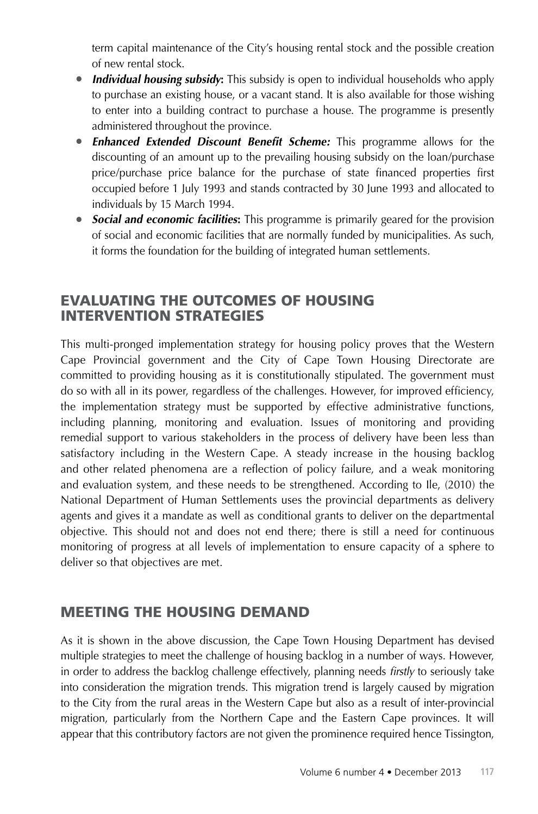term capital maintenance of the City's housing rental stock and the possible creation of new rental stock.

- *Individual housing subsidy***:** This subsidy is open to individual households who apply to purchase an existing house, or a vacant stand. It is also available for those wishing to enter into a building contract to purchase a house. The programme is presently administered throughout the province.
- *Enhanced Extended Discount Benefit Scheme:* This programme allows for the discounting of an amount up to the prevailing housing subsidy on the loan/purchase price/purchase price balance for the purchase of state financed properties first occupied before 1 July 1993 and stands contracted by 30 June 1993 and allocated to individuals by 15 March 1994.
- *Social and economic facilities*: This programme is primarily geared for the provision of social and economic facilities that are normally funded by municipalities. As such, it forms the foundation for the building of integrated human settlements.

#### Evaluating the outcomes of Housing Intervention Strategies

This multi-pronged implementation strategy for housing policy proves that the Western Cape Provincial government and the City of Cape Town Housing Directorate are committed to providing housing as it is constitutionally stipulated. The government must do so with all in its power, regardless of the challenges. However, for improved efficiency, the implementation strategy must be supported by effective administrative functions, including planning, monitoring and evaluation. Issues of monitoring and providing remedial support to various stakeholders in the process of delivery have been less than satisfactory including in the Western Cape. A steady increase in the housing backlog and other related phenomena are a reflection of policy failure, and a weak monitoring and evaluation system, and these needs to be strengthened. According to Ile, (2010) the National Department of Human Settlements uses the provincial departments as delivery agents and gives it a mandate as well as conditional grants to deliver on the departmental objective. This should not and does not end there; there is still a need for continuous monitoring of progress at all levels of implementation to ensure capacity of a sphere to deliver so that objectives are met.

## Meeting the Housing Demand

As it is shown in the above discussion, the Cape Town Housing Department has devised multiple strategies to meet the challenge of housing backlog in a number of ways. However, in order to address the backlog challenge effectively, planning needs *firstly* to seriously take into consideration the migration trends. This migration trend is largely caused by migration to the City from the rural areas in the Western Cape but also as a result of inter-provincial migration, particularly from the Northern Cape and the Eastern Cape provinces. It will appear that this contributory factors are not given the prominence required hence Tissington,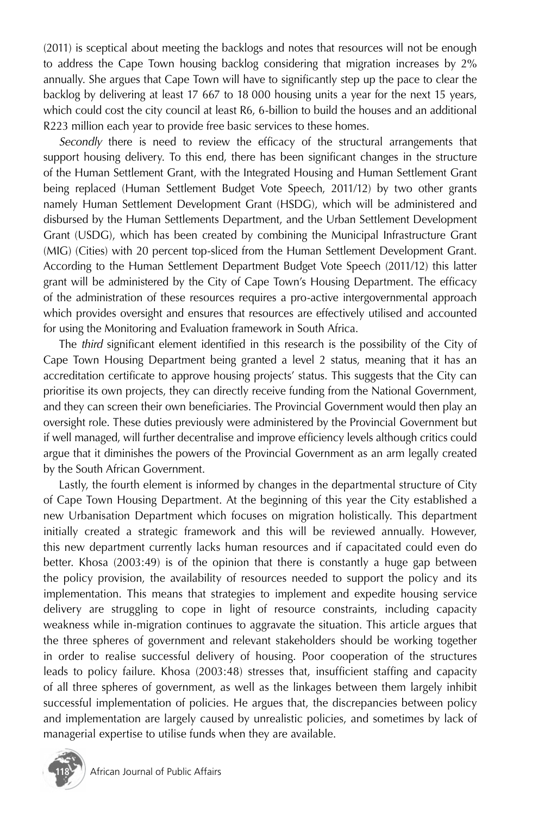(2011) is sceptical about meeting the backlogs and notes that resources will not be enough to address the Cape Town housing backlog considering that migration increases by 2% annually. She argues that Cape Town will have to significantly step up the pace to clear the backlog by delivering at least 17 667 to 18 000 housing units a year for the next 15 years, which could cost the city council at least R6, 6-billion to build the houses and an additional R223 million each year to provide free basic services to these homes.

*Secondly* there is need to review the efficacy of the structural arrangements that support housing delivery. To this end, there has been significant changes in the structure of the Human Settlement Grant, with the Integrated Housing and Human Settlement Grant being replaced (Human Settlement Budget Vote Speech, 2011/12) by two other grants namely Human Settlement Development Grant (HSDG), which will be administered and disbursed by the Human Settlements Department, and the Urban Settlement Development Grant (USDG), which has been created by combining the Municipal Infrastructure Grant (MIG) (Cities) with 20 percent top-sliced from the Human Settlement Development Grant. According to the Human Settlement Department Budget Vote Speech (2011/12) this latter grant will be administered by the City of Cape Town's Housing Department. The efficacy of the administration of these resources requires a pro-active intergovernmental approach which provides oversight and ensures that resources are effectively utilised and accounted for using the Monitoring and Evaluation framework in South Africa.

The *third* significant element identified in this research is the possibility of the City of Cape Town Housing Department being granted a level 2 status, meaning that it has an accreditation certificate to approve housing projects' status. This suggests that the City can prioritise its own projects, they can directly receive funding from the National Government, and they can screen their own beneficiaries. The Provincial Government would then play an oversight role. These duties previously were administered by the Provincial Government but if well managed, will further decentralise and improve efficiency levels although critics could argue that it diminishes the powers of the Provincial Government as an arm legally created by the South African Government.

Lastly, the fourth element is informed by changes in the departmental structure of City of Cape Town Housing Department. At the beginning of this year the City established a new Urbanisation Department which focuses on migration holistically. This department initially created a strategic framework and this will be reviewed annually. However, this new department currently lacks human resources and if capacitated could even do better. Khosa (2003:49) is of the opinion that there is constantly a huge gap between the policy provision, the availability of resources needed to support the policy and its implementation. This means that strategies to implement and expedite housing service delivery are struggling to cope in light of resource constraints, including capacity weakness while in-migration continues to aggravate the situation. This article argues that the three spheres of government and relevant stakeholders should be working together in order to realise successful delivery of housing. Poor cooperation of the structures leads to policy failure. Khosa (2003:48) stresses that, insufficient staffing and capacity of all three spheres of government, as well as the linkages between them largely inhibit successful implementation of policies. He argues that, the discrepancies between policy and implementation are largely caused by unrealistic policies, and sometimes by lack of managerial expertise to utilise funds when they are available.

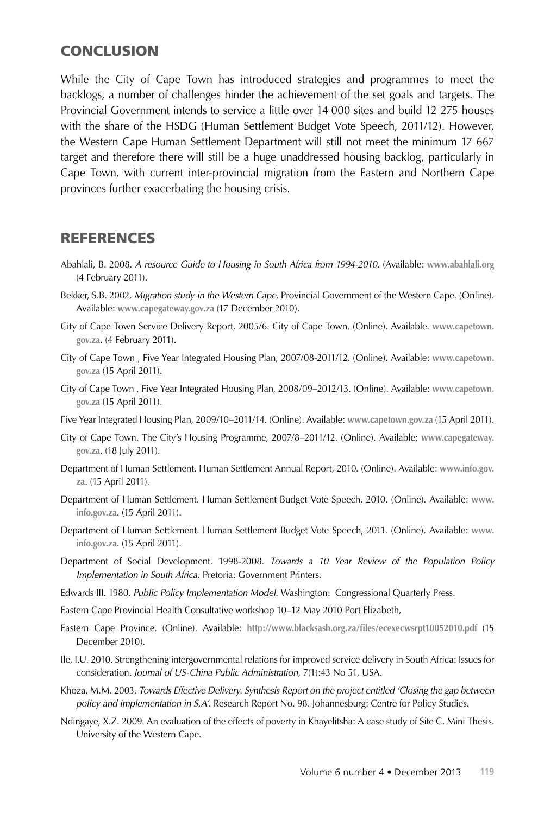#### Conclusion

While the City of Cape Town has introduced strategies and programmes to meet the backlogs, a number of challenges hinder the achievement of the set goals and targets. The Provincial Government intends to service a little over 14 000 sites and build 12 275 houses with the share of the HSDG (Human Settlement Budget Vote Speech, 2011/12). However, the Western Cape Human Settlement Department will still not meet the minimum 17 667 target and therefore there will still be a huge unaddressed housing backlog, particularly in Cape Town, with current inter-provincial migration from the Eastern and Northern Cape provinces further exacerbating the housing crisis.

#### REFERENCES

- Abahlali, B. 2008. *A resource Guide to Housing in South Africa from 1994-2010*. (Available: **www.abahlali.org** (4 February 2011).
- Bekker, S.B. 2002. *Migration study in the Western Cape.* Provincial Government of the Western Cape. (Online). Available: **www.capegateway.gov.za** (17 December 2010).
- City of Cape Town Service Delivery Report, 2005/6. City of Cape Town. (Online). Available. **www.capetown. gov.za**. (4 February 2011).
- City of Cape Town , Five Year Integrated Housing Plan, 2007/08-2011/12. (Online). Available: **www.capetown. gov.za** (15 April 2011).
- City of Cape Town , Five Year Integrated Housing Plan, 2008/09–2012/13. (Online). Available: **www.capetown. gov.za** (15 April 2011).
- Five Year Integrated Housing Plan, 2009/10–2011/14. (Online). Available: **www.capetown.gov.za** (15 April 2011).
- City of Cape Town. The City's Housing Programme, 2007/8–2011/12. (Online). Available: **www.capegateway. gov.za**. (18 July 2011).
- Department of Human Settlement. Human Settlement Annual Report, 2010. (Online). Available: **www.info.gov. za**. (15 April 2011).
- Department of Human Settlement. Human Settlement Budget Vote Speech, 2010. (Online). Available: **www. info.gov.za**. (15 April 2011).
- Department of Human Settlement. Human Settlement Budget Vote Speech, 2011. (Online). Available: **www. info.gov.za**. (15 April 2011).
- Department of Social Development. 1998-2008. *Towards a 10 Year Review of the Population Policy Implementation in South Africa*. Pretoria: Government Printers.
- Edwards III. 1980. *Public Policy Implementation Model*. Washington: Congressional Quarterly Press.
- Eastern Cape Provincial Health Consultative workshop 10–12 May 2010 Port Elizabeth,
- Eastern Cape Province. (Online). Available: **http://www.blacksash.org.za/files/ecexecwsrpt10052010.pdf** (15 December 2010).
- Ile, I.U. 2010. Strengthening intergovernmental relations for improved service delivery in South Africa: Issues for consideration*. Journal of US-China Public Administration*, 7(1):43 No 51, USA.
- Khoza, M.M. 2003. *Towards Effective Delivery. Synthesis Report on the project entitled 'Closing the gap between policy and implementation in S.A'*. Research Report No. 98. Johannesburg: Centre for Policy Studies.
- Ndingaye, X.Z. 2009. An evaluation of the effects of poverty in Khayelitsha: A case study of Site C. Mini Thesis. University of the Western Cape.